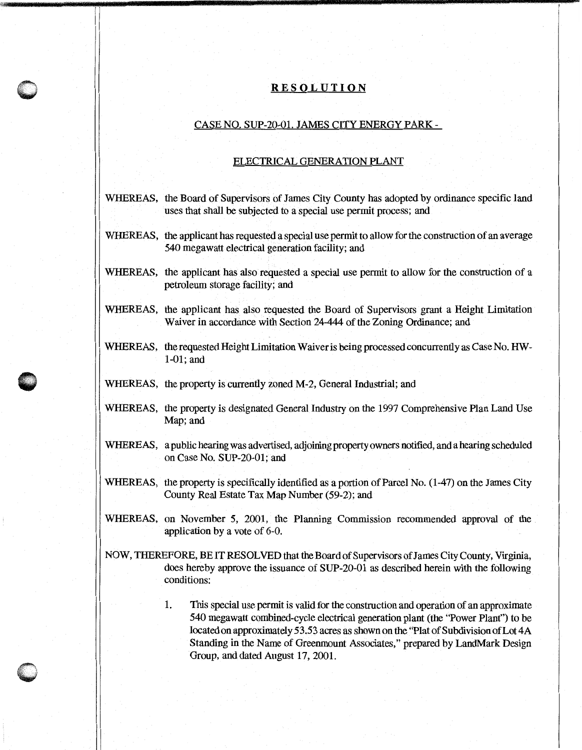## **RESOLUTION**

## CASE NO. SUP-20-01. JAMES CITY ENERGY PARK-

## ELECTRICAL GENERATION PLANT

| WHEREAS, the Board of Supervisors of James City County has adopted by ordinance specific land<br>uses that shall be subjected to a special use permit process; and                                                                                                                                                                                                                          |
|---------------------------------------------------------------------------------------------------------------------------------------------------------------------------------------------------------------------------------------------------------------------------------------------------------------------------------------------------------------------------------------------|
| WHEREAS, the applicant has requested a special use permit to allow for the construction of an average<br>540 megawatt electrical generation facility; and                                                                                                                                                                                                                                   |
| WHEREAS, the applicant has also requested a special use permit to allow for the construction of a<br>petroleum storage facility; and                                                                                                                                                                                                                                                        |
| WHEREAS, the applicant has also requested the Board of Supervisors grant a Height Limitation<br>Waiver in accordance with Section 24-444 of the Zoning Ordinance; and                                                                                                                                                                                                                       |
| WHEREAS, the requested Height Limitation Waiver is being processed concurrently as Case No. HW-<br>$1-01$ ; and                                                                                                                                                                                                                                                                             |
| WHEREAS, the property is currently zoned M-2, General Industrial; and                                                                                                                                                                                                                                                                                                                       |
| WHEREAS, the property is designated General Industry on the 1997 Comprehensive Plan Land Use<br>Map; and                                                                                                                                                                                                                                                                                    |
| WHEREAS, a public hearing was advertised, adjoining property owners notified, and a hearing scheduled<br>on Case No. SUP-20-01; and                                                                                                                                                                                                                                                         |
| WHEREAS, the property is specifically identified as a portion of Parcel No. (1-47) on the James City<br>County Real Estate Tax Map Number (59-2); and                                                                                                                                                                                                                                       |
| WHEREAS, on November 5, 2001, the Planning Commission recommended approval of the<br>application by a vote of 6-0.                                                                                                                                                                                                                                                                          |
| NOW, THEREFORE, BE IT RESOLVED that the Board of Supervisors of James City County, Virginia,<br>does hereby approve the issuance of SUP-20-01 as described herein with the following<br>conditions:                                                                                                                                                                                         |
| 1.<br>This special use permit is valid for the construction and operation of an approximate<br>540 megawatt combined-cycle electrical generation plant (the "Power Plant") to be<br>located on approximately 53.53 acres as shown on the "Plat of Subdivision of Lot 4A<br>Standing in the Name of Greenmount Associates," prepared by LandMark Design<br>Group, and dated August 17, 2001. |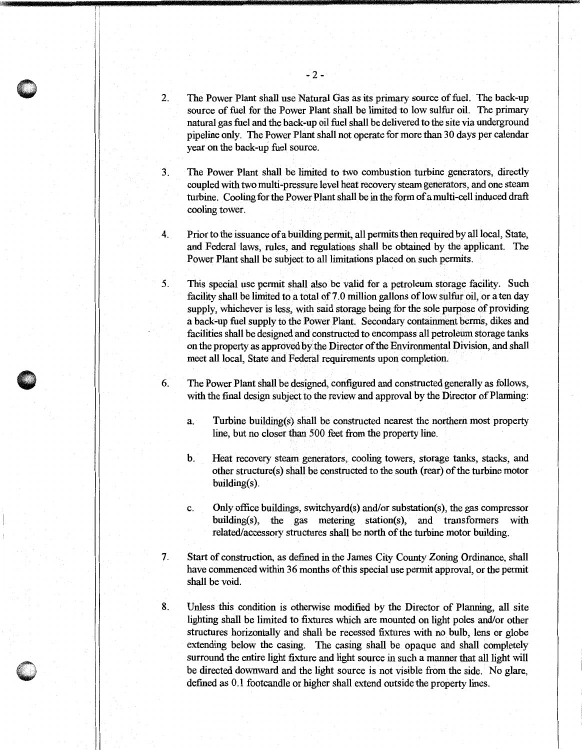- The Power Plant shall use Natural Gas as its primary source of fuel. The back-up 2. source of fuel for the Power Plant shall be limited to low sulfur oil. The primary natural gas fuel and the back-up oil fuel shall be delivered to the site via underground pipeline only. The Power Plant shall not operate for more than 30 days per calendar year on the back-up fuel source.
- The Power Plant shall be limited to two combustion turbine generators, directly  $\overline{3}$ . coupled with two multi-pressure level heat recovery steam generators, and one steam turbine. Cooling for the Power Plant shall be in the form of a multi-cell induced draft cooling tower.
- 4. Prior to the issuance of a building permit, all permits then required by all local, State, and Federal laws, rules, and regulations shall be obtained by the applicant. The Power Plant shall be subject to all limitations placed on such permits.
- This special use permit shall also be valid for a petroleum storage facility. Such  $5<sub>1</sub>$ facility shall be limited to a total of 7.0 million gallons of low sulfur oil, or a ten day supply, whichever is less, with said storage being for the sole purpose of providing a back-up fuel supply to the Power Plant. Secondary containment berms, dikes and facilities shall be designed and constructed to encompass all petroleum storage tanks on the property as approved by the Director of the Environmental Division, and shall meet all local, State and Federal requirements upon completion.
- The Power Plant shall be designed, configured and constructed generally as follows, 6. with the final design subject to the review and approval by the Director of Planning:
	- Turbine building(s) shall be constructed nearest the northern most property  $a<sub>1</sub>$ line, but no closer than 500 feet from the property line.
	- $\mathbf b$ . Heat recovery steam generators, cooling towers, storage tanks, stacks, and other structure(s) shall be constructed to the south (rear) of the turbine motor  $building(s)$ .
	- Only office buildings, switchyard(s) and/or substation(s), the gas compressor c. building(s), the gas metering station(s), and transformers with related/accessory structures shall be north of the turbine motor building.
- $7.$ Start of construction, as defined in the James City County Zoning Ordinance, shall have commenced within 36 months of this special use permit approval, or the permit shall be void.

8.

Unless this condition is otherwise modified by the Director of Planning, all site lighting shall be limited to fixtures which are mounted on light poles and/or other structures horizontally and shall be recessed fixtures with no bulb, lens or globe extending below the casing. The casing shall be opaque and shall completely surround the entire light fixture and light source in such a manner that all light will be directed downward and the light source is not visible from the side. No glare, defined as 0.1 footcandle or higher shall extend outside the property lines.

 $-2-$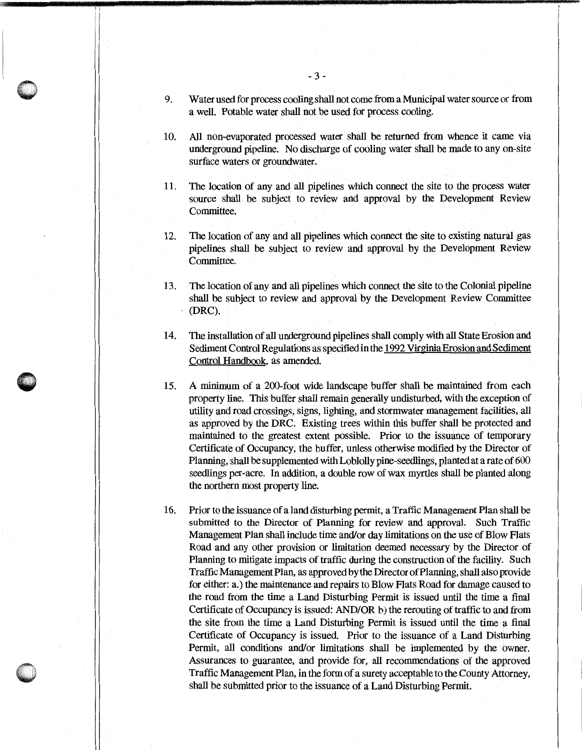- 9. Water used for process cooling shall not come from a Municipal water source or from a well. Potable water shall not be used for process cooling.
- All non-evaporated processed water shall be returned from whence it came via 10. underground pipeline. No discharge of cooling water shall be made to any on-site surface waters or groundwater.
- The location of any and all pipelines which connect the site to the process water 11. source shall be subject to review and approval by the Development Review Committee.
- The location of any and all pipelines which connect the site to existing natural gas 12. pipelines shall be subject to review and approval by the Development Review Committee.
- The location of any and all pipelines which connect the site to the Colonial pipeline 13. shall be subject to review and approval by the Development Review Committee (DRC).
- The installation of all underground pipelines shall comply with all State Erosion and 14. Sediment Control Regulations as specified in the 1992 Virginia Erosion and Sediment Control Handbook, as amended.
- A minimum of a 200-foot wide landscape buffer shall be maintained from each 15. property line. This buffer shall remain generally undisturbed, with the exception of utility and road crossings, signs, lighting, and stormwater management facilities, all as approved by the DRC. Existing trees within this buffer shall be protected and maintained to the greatest extent possible. Prior to the issuance of temporary Certificate of Occupancy, the buffer, unless otherwise modified by the Director of Planning, shall be supplemented with Loblolly pine-seedlings, planted at a rate of 600 seedlings per-acre. In addition, a double row of wax myrtles shall be planted along the northern most property line.
- 16. Prior to the issuance of a land disturbing permit, a Traffic Management Plan shall be submitted to the Director of Planning for review and approval. Such Traffic Management Plan shall include time and/or day limitations on the use of Blow Flats Road and any other provision or limitation deemed necessary by the Director of Planning to mitigate impacts of traffic during the construction of the facility. Such Traffic Management Plan, as approved by the Director of Planning, shall also provide for either: a.) the maintenance and repairs to Blow Flats Road for damage caused to the road from the time a Land Disturbing Permit is issued until the time a final Certificate of Occupancy is issued: AND/OR b) the rerouting of traffic to and from the site from the time a Land Disturbing Permit is issued until the time a final Certificate of Occupancy is issued. Prior to the issuance of a Land Disturbing Permit, all conditions and/or limitations shall be implemented by the owner. Assurances to guarantee, and provide for, all recommendations of the approved Traffic Management Plan, in the form of a surety acceptable to the County Attorney, shall be submitted prior to the issuance of a Land Disturbing Permit.